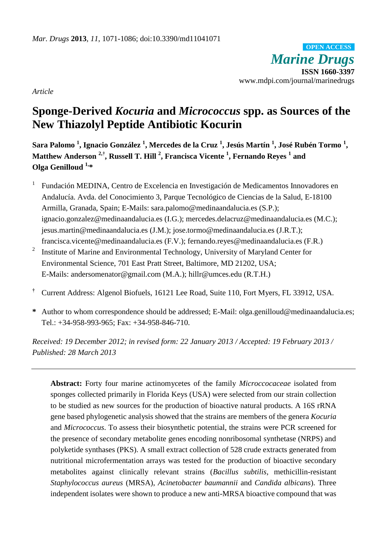*Marine Drugs* **ISSN 1660-3397** www.mdpi.com/journal/marinedrugs **OPEN ACCESS**

*Article*

# **Sponge-Derived** *Kocuria* **and** *Micrococcus* **spp. as Sources of the New Thiazolyl Peptide Antibiotic Kocurin**

**Sara Palomo <sup>1</sup> , Ignacio González <sup>1</sup> , Mercedes de la Cruz <sup>1</sup> , Jesús Martín <sup>1</sup> , José Rubén Tormo <sup>1</sup> , Matthew Anderson 2,† , Russell T. Hill <sup>2</sup> , Francisca Vicente <sup>1</sup> , Fernando Reyes <sup>1</sup> and Olga Genilloud 1, \***

- 1 Fundación MEDINA, Centro de Excelencia en Investigación de Medicamentos Innovadores en Andalucía. Avda. del Conocimiento 3, Parque Tecnológico de Ciencias de la Salud, E-18100 Armilla, Granada, Spain; E-Mails: sara.palomo@medinaandalucia.es (S.P.); ignacio.gonzalez@medinaandalucia.es (I.G.); mercedes.delacruz@medinaandalucia.es (M.C.); jesus.martin@medinaandalucia.es (J.M.); jose.tormo@medinaandalucia.es (J.R.T.); francisca.vicente@medinaandalucia.es (F.V.); fernando.reyes@medinaandalucia.es (F.R.)
- 2 Institute of Marine and Environmental Technology, University of Maryland Center for Environmental Science, 701 East Pratt Street, Baltimore, MD 21202, USA; E-Mails: andersomenator@gmail.com (M.A.); hillr@umces.edu (R.T.H.)
- **†** Current Address: Algenol Biofuels, 16121 Lee Road, Suite 110, Fort Myers, FL 33912, USA.
- **\*** Author to whom correspondence should be addressed; E-Mail: olga.genilloud@medinaandalucia.es; Tel.: +34-958-993-965; Fax: +34-958-846-710.

*Received: 19 December 2012; in revised form: 22 January 2013 / Accepted: 19 February 2013 / Published: 28 March 2013*

**Abstract:** Forty four marine actinomycetes of the family *Microccocaceae* isolated from sponges collected primarily in Florida Keys (USA) were selected from our strain collection to be studied as new sources for the production of bioactive natural products. A 16S rRNA gene based phylogenetic analysis showed that the strains are members of the genera *Kocuria* and *Micrococcus*. To assess their biosynthetic potential, the strains were PCR screened for the presence of secondary metabolite genes encoding nonribosomal synthetase (NRPS) and polyketide synthases (PKS). A small extract collection of 528 crude extracts generated from nutritional microfermentation arrays was tested for the production of bioactive secondary metabolites against clinically relevant strains (*Bacillus subtilis*, methicillin-resistant *Staphylococcus aureus* (MRSA), *Acinetobacter baumannii* and *Candida albicans*). Three independent isolates were shown to produce a new anti-MRSA bioactive compound that was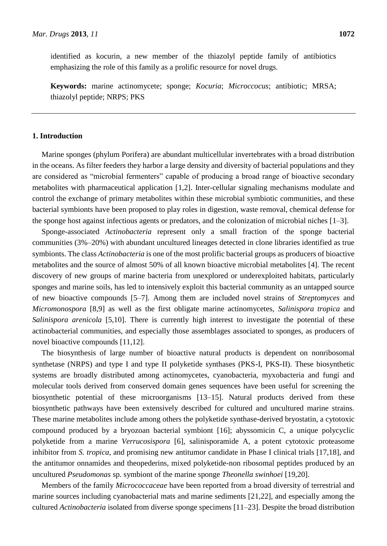identified as kocurin, a new member of the thiazolyl peptide family of antibiotics emphasizing the role of this family as a prolific resource for novel drugs.

**Keywords:** marine actinomycete; sponge; *Kocuria*; *Microccocus*; antibiotic; MRSA; thiazolyl peptide; NRPS; PKS

## **1. Introduction**

Marine sponges (phylum Porifera) are abundant multicellular invertebrates with a broad distribution in the oceans. As filter feeders they harbor a large density and diversity of bacterial populations and they are considered as "microbial fermenters" capable of producing a broad range of bioactive secondary metabolites with pharmaceutical application [1,2]. Inter-cellular signaling mechanisms modulate and control the exchange of primary metabolites within these microbial symbiotic communities, and these bacterial symbionts have been proposed to play roles in digestion, waste removal, chemical defense for the sponge host against infectious agents or predators, and the colonization of microbial niches [1–3].

Sponge-associated *Actinobacteria* represent only a small fraction of the sponge bacterial communities (3%–20%) with abundant uncultured lineages detected in clone libraries identified as true symbionts. The class *Actinobacteria* is one of the most prolific bacterial groups as producers of bioactive metabolites and the source of almost 50% of all known bioactive microbial metabolites [4]. The recent discovery of new groups of marine bacteria from unexplored or underexploited habitats, particularly sponges and marine soils, has led to intensively exploit this bacterial community as an untapped source of new bioactive compounds [5–7]. Among them are included novel strains of *Streptomyces* and *Micromonospora* [8,9] as well as the first obligate marine actinomycetes, *Salinispora tropica* and *Salinispora arenicola* [5,10]. There is currently high interest to investigate the potential of these actinobacterial communities, and especially those assemblages associated to sponges, as producers of novel bioactive compounds [11,12].

The biosynthesis of large number of bioactive natural products is dependent on nonribosomal synthetase (NRPS) and type I and type II polyketide synthases (PKS-I, PKS-II). These biosynthetic systems are broadly distributed among actinomycetes, cyanobacteria, myxobacteria and fungi and molecular tools derived from conserved domain genes sequences have been useful for screening the biosynthetic potential of these microorganisms [13–15]. Natural products derived from these biosynthetic pathways have been extensively described for cultured and uncultured marine strains. These marine metabolites include among others the polyketide synthase-derived bryostatin, a cytotoxic compound produced by a bryozoan bacterial symbiont [16]; abyssomicin C, a unique polycyclic polyketide from a marine *Verrucosispora* [6], salinisporamide A, a potent cytotoxic proteasome inhibitor from *S. tropica*, and promising new antitumor candidate in Phase I clinical trials [17,18], and the antitumor onnamides and theopederins, mixed polyketide-non ribosomal peptides produced by an uncultured *Pseudomonas* sp. symbiont of the marine sponge *Theonella swinhoei* [19,20].

Members of the family *Micrococcaceae* have been reported from a broad diversity of terrestrial and marine sources including cyanobacterial mats and marine sediments [21,22], and especially among the cultured *Actinobacteria* isolated from diverse sponge specimens [11–23]. Despite the broad distribution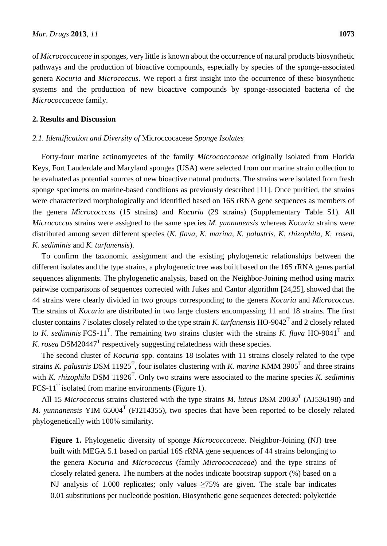of *Micrococcaceae* in sponges, very little is known about the occurrence of natural products biosynthetic pathways and the production of bioactive compounds, especially by species of the sponge-associated genera *Kocuria* and *Micrococcus*. We report a first insight into the occurrence of these biosynthetic systems and the production of new bioactive compounds by sponge-associated bacteria of the *Micrococcaceae* family.

## **2. Results and Discussion**

## *2.1. Identification and Diversity of* Microccocaceae *Sponge Isolates*

Forty-four marine actinomycetes of the family *Micrococcaceae* originally isolated from Florida Keys, Fort Lauderdale and Maryland sponges (USA) were selected from our marine strain collection to be evaluated as potential sources of new bioactive natural products. The strains were isolated from fresh sponge specimens on marine-based conditions as previously described [11]. Once purified, the strains were characterized morphologically and identified based on 16S rRNA gene sequences as members of the genera *Micrococccus* (15 strains) and *Kocuria* (29 strains) (Supplementary Table S1). All *Micrococcus* strains were assigned to the same species *M. yunnanensis* whereas *Kocuria* strains were distributed among seven different species (*K. flava*, *K. marina*, *K. palustris*, *K*. *rhizophila*, *K. rosea*, *K. sediminis* and *K. turfanensis*).

To confirm the taxonomic assignment and the existing phylogenetic relationships between the different isolates and the type strains, a phylogenetic tree was built based on the 16S rRNA genes partial sequences alignments. The phylogenetic analysis, based on the Neighbor-Joining method using matrix pairwise comparisons of sequences corrected with Jukes and Cantor algorithm [24,25], showed that the 44 strains were clearly divided in two groups corresponding to the genera *Kocuria* and *Micrococcus*. The strains of *Kocuria* are distributed in two large clusters encompassing 11 and 18 strains. The first cluster contains 7 isolates closely related to the type strain *K. turfanensis* HO-9042<sup>T</sup> and 2 closely related to *K. sediminis* FCS-11<sup>T</sup>. The remaining two strains cluster with the strains *K. flava* HO-9041<sup>T</sup> and *K. rosea* DSM20447<sup>T</sup> respectively suggesting relatedness with these species.

The second cluster of *Kocuria* spp. contains 18 isolates with 11 strains closely related to the type strains *K. palustris* DSM 11925<sup>T</sup>, four isolates clustering with *K. marina* KMM 3905<sup>T</sup> and three strains with *K. rhizophila* DSM 11926<sup>T</sup>. Only two strains were associated to the marine species *K. sediminis* FCS-11<sup>T</sup> isolated from marine environments (Figure 1).

All 15 *Micrococcus* strains clustered with the type strains *M. luteus* DSM 20030<sup>T</sup> (AJ536198) and *M.* yunnanensis YIM 65004<sup>T</sup> (FJ214355), two species that have been reported to be closely related phylogenetically with 100% similarity.

**Figure 1.** Phylogenetic diversity of sponge *Micrococcaceae*. Neighbor-Joining (NJ) tree built with MEGA 5.1 based on partial 16S rRNA gene sequences of 44 strains belonging to the genera *Kocuria* and *Micrococcus* (family *Micrococcaceae*) and the type strains of closely related genera. The numbers at the nodes indicate bootstrap support (%) based on a NJ analysis of 1.000 replicates; only values  $\geq$ 75% are given. The scale bar indicates 0.01 substitutions per nucleotide position. Biosynthetic gene sequences detected: polyketide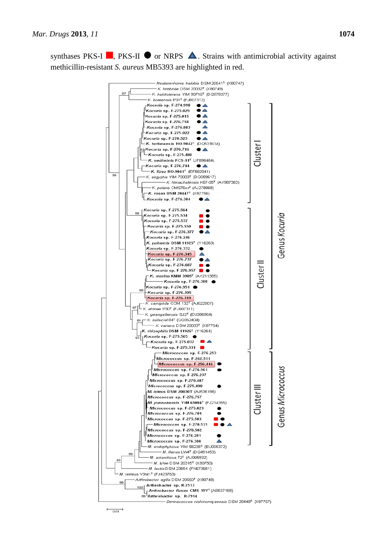synthases PKS-I  $\blacksquare$ , PKS-II  $\blacksquare$  or NRPS  $\blacktriangle$ . Strains with antimicrobial activity against methicillin-resistant *S. aureus* MB5393 are highlighted in red.



 $0.01$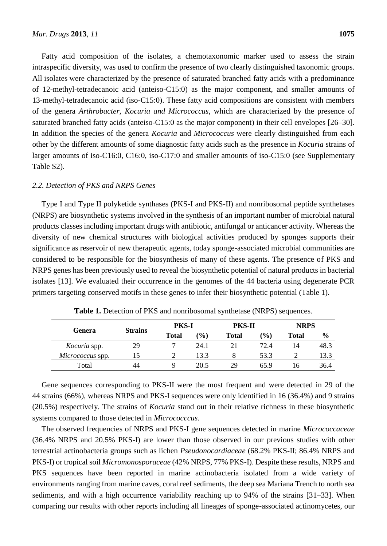Fatty acid composition of the isolates, a chemotaxonomic marker used to assess the strain intraspecific diversity, was used to confirm the presence of two clearly distinguished taxonomic groups. All isolates were characterized by the presence of saturated branched fatty acids with a predominance of 12-methyl-tetradecanoic acid (anteiso-C15:0) as the major component, and smaller amounts of 13-methyl-tetradecanoic acid (iso-C15:0). These fatty acid compositions are consistent with members of the genera *Arthrobacter*, *Kocuria and Micrococcus*, which are characterized by the presence of saturated branched fatty acids (anteiso-C15:0 as the major component) in their cell envelopes [26–30]. In addition the species of the genera *Kocuria* and *Micrococcus* were clearly distinguished from each other by the different amounts of some diagnostic fatty acids such as the presence in *Kocuria* strains of larger amounts of iso-C16:0, C16:0, iso-C17:0 and smaller amounts of iso-C15:0 (see Supplementary Table S2).

## *2.2. Detection of PKS and NRPS Genes*

Type I and Type II polyketide synthases (PKS-I and PKS-II) and nonribosomal peptide synthetases (NRPS) are biosynthetic systems involved in the synthesis of an important number of microbial natural products classes including important drugs with antibiotic, antifungal or anticancer activity. Whereas the diversity of new chemical structures with biological activities produced by sponges supports their significance as reservoir of new therapeutic agents, today sponge-associated microbial communities are considered to be responsible for the biosynthesis of many of these agents. The presence of PKS and NRPS genes has been previously used to reveal the biosynthetic potential of natural products in bacterial isolates [13]. We evaluated their occurrence in the genomes of the 44 bacteria using degenerate PCR primers targeting conserved motifs in these genes to infer their biosynthetic potential (Table 1).

| Genera           | <b>Strains</b> | <b>PKS-I</b> |                  | <b>PKS-II</b> |                | <b>NRPS</b>  |               |
|------------------|----------------|--------------|------------------|---------------|----------------|--------------|---------------|
|                  |                | <b>Total</b> | $\mathcal{O}(6)$ | Total         | $\binom{0}{0}$ | <b>Total</b> | $\frac{6}{9}$ |
| Kocuria spp.     | 29             |              | 24.1             |               | 72.4           | 14           | 48.3          |
| Micrococcus spp. | 15             |              | 13.3             |               | 53.3           |              | 13.3          |
| Total            | 44             |              | 20.5             | 29            | 65.9           | l b          | 36.4          |

**Table 1.** Detection of PKS and nonribosomal synthetase (NRPS) sequences.

Gene sequences corresponding to PKS-II were the most frequent and were detected in 29 of the 44 strains (66%), whereas NRPS and PKS-I sequences were only identified in 16 (36.4%) and 9 strains (20.5%) respectively. The strains of *Kocuria* stand out in their relative richness in these biosynthetic systems compared to those detected in *Micrococccus*.

The observed frequencies of NRPS and PKS-I gene sequences detected in marine *Micrococcaceae* (36.4% NRPS and 20.5% PKS-I) are lower than those observed in our previous studies with other terrestrial actinobacteria groups such as lichen *Pseudonocardiaceae* (68.2% PKS-II; 86.4% NRPS and PKS-I) or tropical soil *Micromonosporaceae* (42% NRPS, 77% PKS-I). Despite these results, NRPS and PKS sequences have been reported in marine actinobacteria isolated from a wide variety of environments ranging from marine caves, coral reef sediments, the deep sea Mariana Trench to north sea sediments, and with a high occurrence variability reaching up to 94% of the strains [31–33]. When comparing our results with other reports including all lineages of sponge-associated actinomycetes, our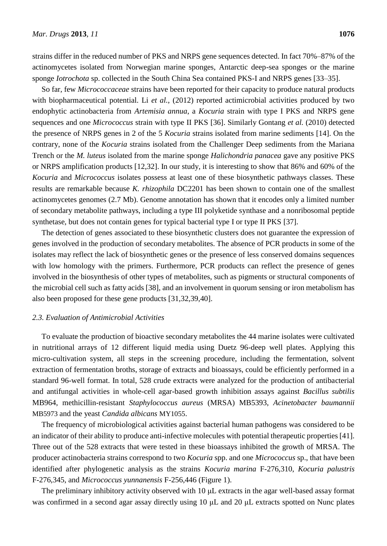strains differ in the reduced number of PKS and NRPS gene sequences detected. In fact 70%–87% of the actinomycetes isolated from Norwegian marine sponges, Antarctic deep-sea sponges or the marine sponge *Iotrochota* sp. collected in the South China Sea contained PKS-I and NRPS genes [33–35].

So far, few *Micrococcaceae* strains have been reported for their capacity to produce natural products with biopharmaceutical potential. Li et al., (2012) reported actimicrobial activities produced by two endophytic actinobacteria from *Artemisia annua*, a *Kocuria* strain with type I PKS and NRPS gene sequences and one *Micrococcus* strain with type II PKS [36]. Similarly Gontang *et al.* (2010) detected the presence of NRPS genes in 2 of the 5 *Kocuria* strains isolated from marine sediments [14]. On the contrary, none of the *Kocuria* strains isolated from the Challenger Deep sediments from the Mariana Trench or the *M. luteus* isolated from the marine sponge *Halichondria panacea* gave any positive PKS or NRPS amplification products [12,32]. In our study, it is interesting to show that 86% and 60% of the *Kocuria* and *Micrococcus* isolates possess at least one of these biosynthetic pathways classes. These results are remarkable because *K. rhizophila* DC2201 has been shown to contain one of the smallest actinomycetes genomes (2.7 Mb). Genome annotation has shown that it encodes only a limited number of secondary metabolite pathways, including a type III polyketide synthase and a nonribosomal peptide synthetase, but does not contain genes for typical bacterial type I or type II PKS [37].

The detection of genes associated to these biosynthetic clusters does not guarantee the expression of genes involved in the production of secondary metabolites. The absence of PCR products in some of the isolates may reflect the lack of biosynthetic genes or the presence of less conserved domains sequences with low homology with the primers. Furthermore, PCR products can reflect the presence of genes involved in the biosynthesis of other types of metabolites, such as pigments or structural components of the microbial cell such as fatty acids [38], and an involvement in quorum sensing or iron metabolism has also been proposed for these gene products [31,32,39,40].

## *2.3. Evaluation of Antimicrobial Activities*

To evaluate the production of bioactive secondary metabolites the 44 marine isolates were cultivated in nutritional arrays of 12 different liquid media using Duetz 96-deep well plates. Applying this micro-cultivation system, all steps in the screening procedure, including the fermentation, solvent extraction of fermentation broths, storage of extracts and bioassays, could be efficiently performed in a standard 96-well format. In total, 528 crude extracts were analyzed for the production of antibacterial and antifungal activities in whole-cell agar-based growth inhibition assays against *Bacillus subtilis*  MB964, methicillin-resistant *Staphylococcus aureus* (MRSA) MB5393, *Acinetobacter baumannii* MB5973 and the yeast *Candida albicans* MY1055.

The frequency of microbiological activities against bacterial human pathogens was considered to be an indicator of their ability to produce anti-infective molecules with potential therapeutic properties [41]. Three out of the 528 extracts that were tested in these bioassays inhibited the growth of MRSA. The producer actinobacteria strains correspond to two *Kocuria* spp. and one *Micrococcus* sp., that have been identified after phylogenetic analysis as the strains *Kocuria marina* F-276,310, *Kocuria palustris* F-276,345, and *Micrococcus yunnanensis* F-256,446 (Figure 1).

The preliminary inhibitory activity observed with 10 μL extracts in the agar well-based assay format was confirmed in a second agar assay directly using 10 μL and 20 μL extracts spotted on Nunc plates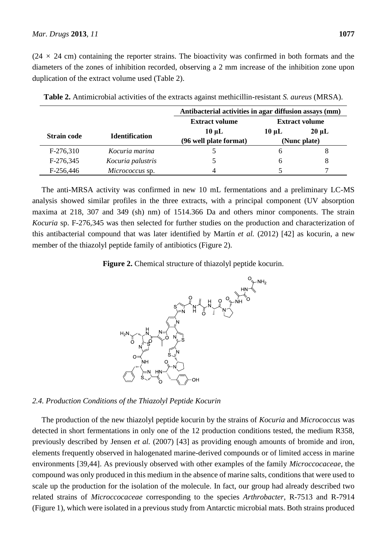$(24 \times 24 \text{ cm})$  containing the reporter strains. The bioactivity was confirmed in both formats and the diameters of the zones of inhibition recorded, observing a 2 mm increase of the inhibition zone upon duplication of the extract volume used (Table 2).

|                    |                       | Antibacterial activities in agar diffusion assays (mm) |                       |            |  |  |
|--------------------|-----------------------|--------------------------------------------------------|-----------------------|------------|--|--|
|                    |                       | <b>Extract volume</b>                                  | <b>Extract volume</b> |            |  |  |
| <b>Strain code</b> | <b>Identification</b> | $10 \mu L$                                             | $10 \mu L$            | $20 \mu L$ |  |  |
|                    |                       | (96 well plate format)                                 | (Nunc plate)          |            |  |  |
| F-276,310          | Kocuria marina        |                                                        | h                     | 8          |  |  |
| F-276,345          | Kocuria palustris     |                                                        | <sub>6</sub>          | 8          |  |  |
| F-256,446          | Micrococcus sp.       | 4                                                      |                       |            |  |  |

**Table 2.** Antimicrobial activities of the extracts against methicillin-resistant *S. aureus* (MRSA).

The anti-MRSA activity was confirmed in new 10 mL fermentations and a preliminary LC-MS analysis showed similar profiles in the three extracts, with a principal component (UV absorption maxima at 218, 307 and 349 (sh) nm) of 1514.366 Da and others minor components. The strain *Kocuria* sp. F-276,345 was then selected for further studies on the production and characterization of this antibacterial compound that was later identified by Martín *et al.* (2012) [42] as kocurin, a new member of the thiazolyl peptide family of antibiotics (Figure 2).

**Figure 2.** Chemical structure of thiazolyl peptide kocurin.



## *2.4. Production Conditions of the Thiazolyl Peptide Kocurin*

The production of the new thiazolyl peptide kocurin by the strains of *Kocuria* and *Micrococcus* was detected in short fermentations in only one of the 12 production conditions tested, the medium R358, previously described by Jensen *et al.* (2007) [43] as providing enough amounts of bromide and iron, elements frequently observed in halogenated marine-derived compounds or of limited access in marine environments [39,44]. As previously observed with other examples of the family *Microccocaceae*, the compound was only produced in this medium in the absence of marine salts, conditions that were used to scale up the production for the isolation of the molecule. In fact, our group had already described two related strains of *Microccocaceae* corresponding to the species *Arthrobacter*, R-7513 and R-7914 (Figure 1), which were isolated in a previous study from Antarctic microbial mats. Both strains produced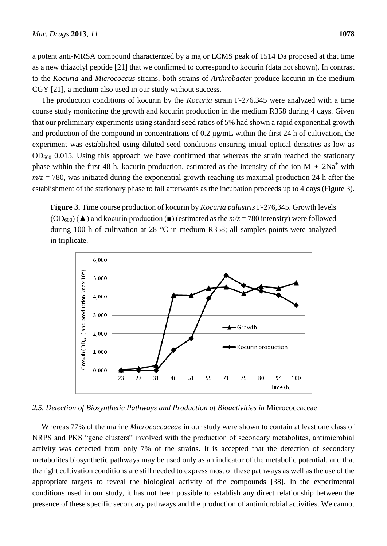a potent anti-MRSA compound characterized by a major LCMS peak of 1514 Da proposed at that time as a new thiazolyl peptide [21] that we confirmed to correspond to kocurin (data not shown). In contrast to the *Kocuria* and *Micrococcus* strains, both strains of *Arthrobacter* produce kocurin in the medium CGY [21], a medium also used in our study without success.

The production conditions of kocurin by the *Kocuria* strain F-276,345 were analyzed with a time course study monitoring the growth and kocurin production in the medium R358 during 4 days. Given that our preliminary experiments using standard seed ratios of 5% had shown a rapid exponential growth and production of the compound in concentrations of 0.2  $\mu$ g/mL within the first 24 h of cultivation, the experiment was established using diluted seed conditions ensuring initial optical densities as low as  $OD_{600}$  0.015. Using this approach we have confirmed that whereas the strain reached the stationary phase within the first 48 h, kocurin production, estimated as the intensity of the ion  $M + 2Na<sup>+</sup>$  with  $m/z = 780$ , was initiated during the exponential growth reaching its maximal production 24 h after the establishment of the stationary phase to fall afterwards as the incubation proceeds up to 4 days (Figure 3).

**Figure 3.** Time course production of kocurin by *Kocuria palustris* F-276,345. Growth levels  $(OD_{600})$  ( $\triangle$ ) and kocurin production ( $\Box$ ) (estimated as the  $m/z = 780$  intensity) were followed during 100 h of cultivation at 28  $\degree$ C in medium R358; all samples points were analyzed in triplicate.



*2.5. Detection of Biosynthetic Pathways and Production of Bioactivities in* Micrococcaceae

Whereas 77% of the marine *Micrococcaceae* in our study were shown to contain at least one class of NRPS and PKS "gene clusters" involved with the production of secondary metabolites, antimicrobial activity was detected from only 7% of the strains. It is accepted that the detection of secondary metabolites biosynthetic pathways may be used only as an indicator of the metabolic potential, and that the right cultivation conditions are still needed to express most of these pathways as well as the use of the appropriate targets to reveal the biological activity of the compounds [38]. In the experimental conditions used in our study, it has not been possible to establish any direct relationship between the presence of these specific secondary pathways and the production of antimicrobial activities. We cannot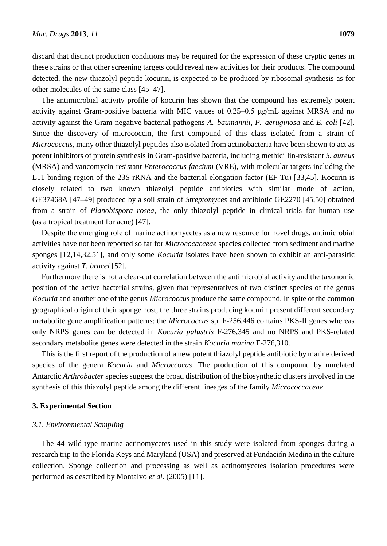discard that distinct production conditions may be required for the expression of these cryptic genes in these strains or that other screening targets could reveal new activities for their products. The compound detected, the new thiazolyl peptide kocurin, is expected to be produced by ribosomal synthesis as for other molecules of the same class [45–47].

The antimicrobial activity profile of kocurin has shown that the compound has extremely potent activity against Gram-positive bacteria with MIC values of 0.25–0.5 μg/mL against MRSA and no activity against the Gram-negative bacterial pathogens *A. baumannii*, *P. aeruginosa* and *E. coli* [42]. Since the discovery of micrococcin, the first compound of this class isolated from a strain of *Micrococcus*, many other thiazolyl peptides also isolated from actinobacteria have been shown to act as potent inhibitors of protein synthesis in Gram-positive bacteria, including methicillin-resistant *S. aureus* (MRSA) and vancomycin-resistant *Enterococcus faecium* (VRE), with molecular targets including the L11 binding region of the 23S rRNA and the bacterial elongation factor (EF-Tu) [33,45]. Kocurin is closely related to two known thiazolyl peptide antibiotics with similar mode of action, GE37468A [47–49] produced by a soil strain of *Streptomyces* and antibiotic GE2270 [45,50] obtained from a strain of *Planobispora rosea*, the only thiazolyl peptide in clinical trials for human use (as a tropical treatment for acne) [47].

Despite the emerging role of marine actinomycetes as a new resource for novel drugs, antimicrobial activities have not been reported so far for *Micrococacceae* species collected from sediment and marine sponges [12,14,32,51], and only some *Kocuria* isolates have been shown to exhibit an anti-parasitic activity against *T. brucei* [52].

Furthermore there is not a clear-cut correlation between the antimicrobial activity and the taxonomic position of the active bacterial strains, given that representatives of two distinct species of the genus *Kocuria* and another one of the genus *Micrococcus* produce the same compound. In spite of the common geographical origin of their sponge host, the three strains producing kocurin present different secondary metabolite gene amplification patterns: the *Micrococcus* sp. F-256,446 contains PKS-II genes whereas only NRPS genes can be detected in *Kocuria palustris* F-276,345 and no NRPS and PKS-related secondary metabolite genes were detected in the strain *Kocuria marina* F-276,310.

This is the first report of the production of a new potent thiazolyl peptide antibiotic by marine derived species of the genera *Kocuria* and *Microccocus*. The production of this compound by unrelated Antarctic *Arthrobacter* species suggest the broad distribution of the biosynthetic clusters involved in the synthesis of this thiazolyl peptide among the different lineages of the family *Micrococcaceae*.

#### **3. Experimental Section**

#### *3.1. Environmental Sampling*

The 44 wild-type marine actinomycetes used in this study were isolated from sponges during a research trip to the Florida Keys and Maryland (USA) and preserved at Fundación Medina in the culture collection. Sponge collection and processing as well as actinomycetes isolation procedures were performed as described by Montalvo *et al.* (2005) [11].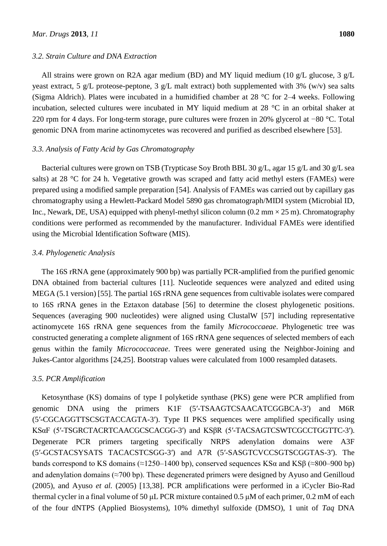#### *3.2. Strain Culture and DNA Extraction*

All strains were grown on R2A agar medium (BD) and MY liquid medium (10 g/L glucose, 3 g/L yeast extract, 5 g/L proteose-peptone, 3 g/L malt extract) both supplemented with 3% (w/v) sea salts (Sigma Aldrich). Plates were incubated in a humidified chamber at 28  $\degree$ C for 2–4 weeks. Following incubation, selected cultures were incubated in MY liquid medium at  $28$  °C in an orbital shaker at 220 rpm for 4 days. For long-term storage, pure cultures were frozen in 20% glycerol at −80 °C. Total genomic DNA from marine actinomycetes was recovered and purified as described elsewhere [53].

## *3.3. Analysis of Fatty Acid by Gas Chromatography*

Bacterial cultures were grown on TSB (Trypticase Soy Broth BBL 30 g/L, agar 15 g/L and 30 g/L sea salts) at  $28$  °C for  $24$  h. Vegetative growth was scraped and fatty acid methyl esters (FAMEs) were prepared using a modified sample preparation [54]. Analysis of FAMEs was carried out by capillary gas chromatography using a Hewlett-Packard Model 5890 gas chromatograph/MIDI system (Microbial ID, Inc., Newark, DE, USA) equipped with phenyl-methyl silicon column (0.2 mm  $\times$  25 m). Chromatography conditions were performed as recommended by the manufacturer. Individual FAMEs were identified using the Microbial Identification Software (MIS).

## *3.4. Phylogenetic Analysis*

The 16S rRNA gene (approximately 900 bp) was partially PCR-amplified from the purified genomic DNA obtained from bacterial cultures [11]. Nucleotide sequences were analyzed and edited using MEGA (5.1 version) [55]. The partial 16S rRNA gene sequences from cultivable isolates were compared to 16S rRNA genes in the Eztaxon database [56] to determine the closest phylogenetic positions. Sequences (averaging 900 nucleotides) were aligned using ClustalW [57] including representative actinomycete 16S rRNA gene sequences from the family *Micrococcaeae*. Phylogenetic tree was constructed generating a complete alignment of 16S rRNA gene sequences of selected members of each genus within the family *Micrococcaceae*. Trees were generated using the Neighbor-Joining and Jukes-Cantor algorithms [24,25]. Bootstrap values were calculated from 1000 resampled datasets.

## *3.5. PCR Amplification*

Ketosynthase (KS) domains of type I polyketide synthase (PKS) gene were PCR amplified from genomic DNA using the primers K1F (5′-TSAAGTCSAACATCGGBCA-3′) and M6R (5′-CGCAGGTTSCSGTACCAGTA-3′). Type II PKS sequences were amplified specifically using KSαF (5′-TSGRCTACRTCAACGCSCACGG-3′) and KSβR (5′-TACSAGTCSWTCGCCTGGTTC-3′). Degenerate PCR primers targeting specifically NRPS adenylation domains were A3F (5′-GCSTACSYSATS TACACSTCSGG-3′) and A7R (5′-SASGTCVCCSGTSCGGTAS-3′). The bands correspond to KS domains ( $\approx$ 1250–1400 bp), conserved sequences KSα and KSβ ( $\approx$ 800–900 bp) and adenylation domains ( $\approx$ 700 bp). These degenerated primers were designed by Ayuso and Genilloud (2005), and Ayuso *et al.* (2005) [13,38]. PCR amplifications were performed in a iCycler Bio-Rad thermal cycler in a final volume of 50 μL PCR mixture contained 0.5 μM of each primer, 0.2 mM of each of the four dNTPS (Applied Biosystems), 10% dimethyl sulfoxide (DMSO), 1 unit of *Taq* DNA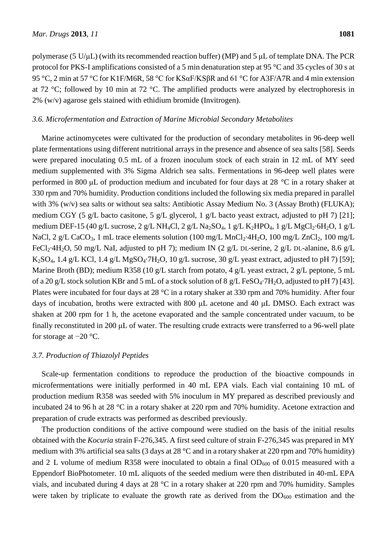polymerase (5 U/μL) (with its recommended reaction buffer) (MP) and 5 μL of template DNA. The PCR protocol for PKS-I amplifications consisted of a 5 min denaturation step at 95  $\degree$ C and 35 cycles of 30 s at 95 °C, 2 min at 57 °C for K1F/M6R, 58 °C for KSαF/KSβR and 61 °C for A3F/A7R and 4 min extension at 72 °C; followed by 10 min at 72 °C. The amplified products were analyzed by electrophoresis in  $2\%$  (w/v) agarose gels stained with ethidium bromide (Invitrogen).

## *3.6. Microfermentation and Extraction of Marine Microbial Secondary Metabolites*

Marine actinomycetes were cultivated for the production of secondary metabolites in 96-deep well plate fermentations using different nutritional arrays in the presence and absence of sea salts [58]. Seeds were prepared inoculating 0.5 mL of a frozen inoculum stock of each strain in 12 mL of MY seed medium supplemented with 3% Sigma Aldrich sea salts. Fermentations in 96-deep well plates were performed in 800 μL of production medium and incubated for four days at 28  $\degree$ C in a rotary shaker at 330 rpm and 70% humidity. Production conditions included the following six media prepared in parallel with 3% (w/v) sea salts or without sea salts: Antibiotic Assay Medium No. 3 (Assay Broth) (FLUKA); medium CGY (5 g/L bacto casitone, 5 g/L glycerol, 1 g/L bacto yeast extract, adjusted to pH 7) [21]; medium DEF-15 (40 g/L sucrose, 2 g/L NH<sub>4</sub>Cl, 2 g/L Na<sub>2</sub>SO<sub>4</sub>, 1 g/L K<sub>2</sub>HPO<sub>4</sub>, 1 g/L MgCl<sub>2</sub> 6H<sub>2</sub>O, 1 g/L NaCl, 2 g/L CaCO<sub>3</sub>, 1 mL trace elements solution (100 mg/L MnCl<sub>2</sub> 4H<sub>2</sub>O, 100 mg/L ZnCl<sub>2</sub>, 100 mg/L FeCl<sub>2</sub> 4H<sub>2</sub>O, 50 mg/L NaI, adjusted to pH 7); medium IN (2 g/L DL-serine, 2 g/L DL-alanine, 8.6 g/L K<sub>2</sub>SO<sub>4</sub>, 1.4 g/L KCl, 1.4 g/L MgSO<sub>4</sub> 7H<sub>2</sub>O, 10 g/L sucrose, 30 g/L yeast extract, adjusted to pH 7) [59]; Marine Broth (BD); medium R358 (10 g/L starch from potato, 4 g/L yeast extract, 2 g/L peptone, 5 mL of a 20 g/L stock solution KBr and 5 mL of a stock solution of 8 g/L FeSO<sub>4</sub> 7H<sub>2</sub>O, adjusted to pH 7) [43]. Plates were incubated for four days at 28  $\degree$ C in a rotary shaker at 330 rpm and 70% humidity. After four days of incubation, broths were extracted with 800 μL acetone and 40 μL DMSO. Each extract was shaken at 200 rpm for 1 h, the acetone evaporated and the sample concentrated under vacuum, to be finally reconstituted in 200 μL of water. The resulting crude extracts were transferred to a 96-well plate for storage at  $-20$  °C.

## *3.7. Production of Thiazolyl Peptides*

Scale-up fermentation conditions to reproduce the production of the bioactive compounds in microfermentations were initially performed in 40 mL EPA vials. Each vial containing 10 mL of production medium R358 was seeded with 5% inoculum in MY prepared as described previously and incubated 24 to 96 h at 28 °C in a rotary shaker at 220 rpm and 70% humidity. Acetone extraction and preparation of crude extracts was performed as described previously.

The production conditions of the active compound were studied on the basis of the initial results obtained with the *Kocuria* strain F-276,345. A first seed culture of strain F-276,345 was prepared in MY medium with 3% artificial sea salts (3 days at 28  $\degree$ C and in a rotary shaker at 220 rpm and 70% humidity) and 2 L volume of medium R358 were inoculated to obtain a final  $OD_{600}$  of 0.015 measured with a Eppendorf BioPhotometer. 10 mL aliquots of the seeded medium were then distributed in 40-mL EPA vials, and incubated during 4 days at 28  $\degree$ C in a rotary shaker at 220 rpm and 70% humidity. Samples were taken by triplicate to evaluate the growth rate as derived from the  $DO<sub>600</sub>$  estimation and the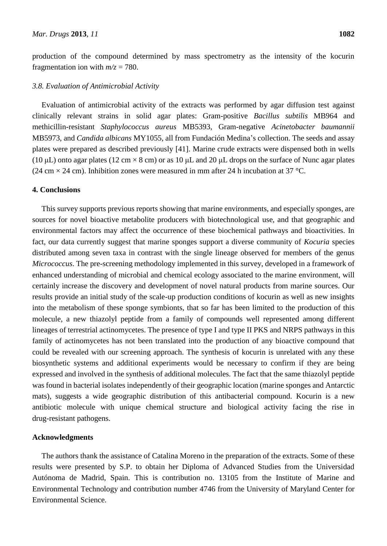production of the compound determined by mass spectrometry as the intensity of the kocurin fragmentation ion with  $m/z = 780$ .

#### *3.8. Evaluation of Antimicrobial Activity*

Evaluation of antimicrobial activity of the extracts was performed by agar diffusion test against clinically relevant strains in solid agar plates: Gram-positive *Bacillus subtilis* MB964 and methicillin-resistant *Staphylococcus aureus* MB5393, Gram-negative *Acinetobacter baumannii* MB5973, and *Candida albicans* MY1055, all from Fundación Medina's collection. The seeds and assay plates were prepared as described previously [41]. Marine crude extracts were dispensed both in wells (10 μL) onto agar plates (12 cm  $\times$ 8 cm) or as 10 μL and 20 μL drops on the surface of Nunc agar plates (24 cm  $\times$  24 cm). Inhibition zones were measured in mm after 24 h incubation at 37 °C.

## **4. Conclusions**

This survey supports previous reports showing that marine environments, and especially sponges, are sources for novel bioactive metabolite producers with biotechnological use, and that geographic and environmental factors may affect the occurrence of these biochemical pathways and bioactivities. In fact, our data currently suggest that marine sponges support a diverse community of *Kocuria* species distributed among seven taxa in contrast with the single lineage observed for members of the genus *Micrococcus*. The pre-screening methodology implemented in this survey, developed in a framework of enhanced understanding of microbial and chemical ecology associated to the marine environment, will certainly increase the discovery and development of novel natural products from marine sources. Our results provide an initial study of the scale-up production conditions of kocurin as well as new insights into the metabolism of these sponge symbionts, that so far has been limited to the production of this molecule, a new thiazolyl peptide from a family of compounds well represented among different lineages of terrestrial actinomycetes. The presence of type I and type II PKS and NRPS pathways in this family of actinomycetes has not been translated into the production of any bioactive compound that could be revealed with our screening approach. The synthesis of kocurin is unrelated with any these biosynthetic systems and additional experiments would be necessary to confirm if they are being expressed and involved in the synthesis of additional molecules. The fact that the same thiazolyl peptide was found in bacterial isolates independently of their geographic location (marine sponges and Antarctic mats), suggests a wide geographic distribution of this antibacterial compound. Kocurin is a new antibiotic molecule with unique chemical structure and biological activity facing the rise in drug-resistant pathogens.

## **Acknowledgments**

The authors thank the assistance of Catalina Moreno in the preparation of the extracts. Some of these results were presented by S.P. to obtain her Diploma of Advanced Studies from the Universidad Autónoma de Madrid, Spain. This is contribution no. 13105 from the Institute of Marine and Environmental Technology and contribution number 4746 from the University of Maryland Center for Environmental Science.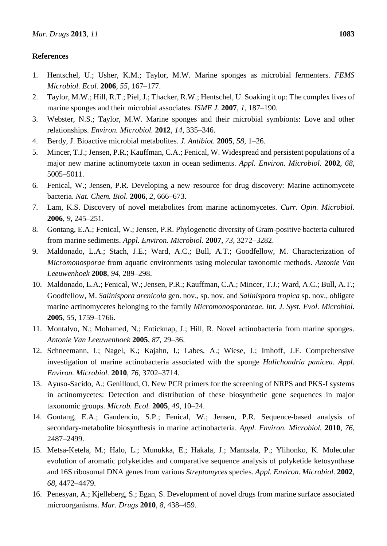## **References**

- 1. Hentschel, U.; Usher, K.M.; Taylor, M.W. Marine sponges as microbial fermenters. *FEMS Microbiol. Ecol.* **2006**, *55*, 167–177.
- 2. Taylor, M.W.; Hill, R.T.; Piel, J.; Thacker, R.W.; Hentschel, U. Soaking it up: The complex lives of marine sponges and their microbial associates. *ISME J.* **2007**, *1*, 187–190.
- 3. Webster, N.S.; Taylor, M.W. Marine sponges and their microbial symbionts: Love and other relationships. *Environ. Microbiol.* **2012**, *14*, 335–346.
- 4. Berdy, J. Bioactive microbial metabolites. *J. Antibiot.* **2005**, *58*, 1–26.
- 5. Mincer, T.J.; Jensen, P.R.; Kauffman, C.A.; Fenical, W. Widespread and persistent populations of a major new marine actinomycete taxon in ocean sediments. *Appl. Environ. Microbiol.* **2002**, *68*, 5005–5011.
- 6. Fenical, W.; Jensen, P.R. Developing a new resource for drug discovery: Marine actinomycete bacteria. *Nat. Chem. Biol.* **2006**, *2*, 666–673.
- 7. Lam, K.S. Discovery of novel metabolites from marine actinomycetes. *Curr. Opin. Microbiol.* **2006**, *9*, 245–251.
- 8. Gontang, E.A.; Fenical, W.; Jensen, P.R. Phylogenetic diversity of Gram-positive bacteria cultured from marine sediments. *Appl. Environ. Microbiol.* **2007**, *73*, 3272–3282.
- 9. Maldonado, L.A.; Stach, J.E.; Ward, A.C.; Bull, A.T.; Goodfellow, M. Characterization of *Micromonosporae* from aquatic environments using molecular taxonomic methods. *Antonie Van Leeuwenhoek* **2008**, *94*, 289–298.
- 10. Maldonado, L.A.; Fenical, W.; Jensen, P.R.; Kauffman, C.A.; Mincer, T.J.; Ward, A.C.; Bull, A.T.; Goodfellow, M. *Salinispora arenicola* gen. nov., sp. nov. and *Salinispora tropica* sp. nov., obligate marine actinomycetes belonging to the family *Micromonosporaceae*. *Int. J. Syst. Evol. Microbiol.* **2005**, *55*, 1759–1766.
- 11. Montalvo, N.; Mohamed, N.; Enticknap, J.; Hill, R. Novel actinobacteria from marine sponges. *Antonie Van Leeuwenhoek* **2005**, *87*, 29–36.
- 12. Schneemann, I.; Nagel, K.; Kajahn, I.; Labes, A.; Wiese, J.; Imhoff, J.F. Comprehensive investigation of marine actinobacteria associated with the sponge *Halichondria panicea*. *Appl. Environ. Microbiol.* **2010**, *76*, 3702–3714.
- 13. Ayuso-Sacido, A.; Genilloud, O. New PCR primers for the screening of NRPS and PKS-I systems in actinomycetes: Detection and distribution of these biosynthetic gene sequences in major taxonomic groups. *Microb. Ecol.* **2005**, *49*, 10–24.
- 14. Gontang, E.A.; Gaudencio, S.P.; Fenical, W.; Jensen, P.R. Sequence-based analysis of secondary-metabolite biosynthesis in marine actinobacteria. *Appl. Environ. Microbiol.* **2010**, *76*, 2487–2499.
- 15. Metsa-Ketela, M.; Halo, L.; Munukka, E.; Hakala, J.; Mantsala, P.; Ylihonko, K. Molecular evolution of aromatic polyketides and comparative sequence analysis of polyketide ketosynthase and 16S ribosomal DNA genes from various *Streptomyces* species. *Appl. Environ. Microbiol.* **2002**, *68*, 4472–4479.
- 16. Penesyan, A.; Kjelleberg, S.; Egan, S. Development of novel drugs from marine surface associated microorganisms. *Mar. Drugs* **2010**, *8*, 438–459.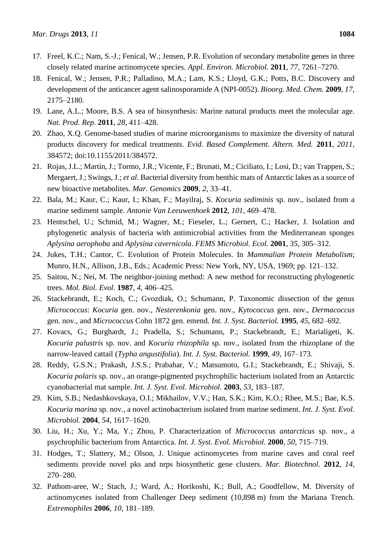- 17. Freel, K.C.; Nam, S.-J.; Fenical, W.; Jensen, P.R. Evolution of secondary metabolite genes in three closely related marine actinomycete species. *Appl. Environ. Microbiol.* **2011**, *77*, 7261–7270.
- 18. Fenical, W.; Jensen, P.R.; Palladino, M.A.; Lam, K.S.; Lloyd, G.K.; Potts, B.C. Discovery and development of the anticancer agent salinosporamide A (NPI-0052). *Bioorg. Med. Chem.* **2009**, *17*, 2175–2180.
- 19. Lane, A.L.; Moore, B.S. A sea of biosynthesis: Marine natural products meet the molecular age. *Nat. Prod. Rep*. **2011**, *28*, 411–428.
- 20. Zhao, X.Q. Genome-based studies of marine microorganisms to maximize the diversity of natural products discovery for medical treatments. *Evid. Based Complement. Altern. Med.* **2011**, *2011*, 384572; doi:10.1155/2011/384572.
- 21. Rojas, J.L.; Mart n, J.; Tormo, J.R.; Vicente, F.; Brunati, M.; Ciciliato, I.; Losi, D.; van Trappen, S.; Mergaert, J.; Swings, J.; *et al.* Bacterial diversity from benthic mats of Antarctic lakes as a source of new bioactive metabolites. *Mar. Genomics* **2009**, *2*, 33–41.
- 22. Bala, M.; Kaur, C.; Kaur, I.; Khan, F.; Mayilraj, S. *Kocuria sediminis* sp. nov., isolated from a marine sediment sample. *Antonie Van Leeuwenhoek* **2012**, *101*, 469–478.
- 23. Hentschel, U.; Schmid, M.; Wagner, M.; Fieseler, L.; Gernert, C.; Hacker, J. Isolation and phylogenetic analysis of bacteria with antimicrobial activities from the Mediterranean sponges *Aplysina aerophoba* and *Aplysina cavernicola*. *FEMS Microbiol. Ecol.* **2001**, *35*, 305–312.
- 24. Jukes, T.H.; Cantor, C. Evolution of Protein Molecules. In *Mammalian Protein Metabolism*; Munro, H.N., Allison, J.B., Eds.; Academic Press: New York, NY, USA, 1969; pp. 121–132.
- 25. Saitou, N.; Nei, M. The neighbor-joining method: A new method for reconstructing phylogenetic trees. *Mol. Biol. Evol*. **1987**, *4*, 406–425.
- 26. Stackebrandt, E.; Koch, C.; Gvozdiak, O.; Schumann, P. Taxonomic dissection of the genus *Micrococcus*: *Kocuria* gen. nov., *Nesterenkonia* gen. nov., *Kytococcus* gen. nov., *Dermacoccus* gen. nov., and *Micrococcus* Cohn 1872 gen. emend. *Int. J. Syst. Bacteriol.* **1995**, *45*, 682–692.
- 27. Kovacs, G.; Burghardt, J.; Pradella, S.; Schumann, P.; Stackebrandt, E.; Marialigeti, K. *Kocuria palustris* sp. nov. and *Kocuria rhizophila* sp. nov., isolated from the rhizoplane of the narrow-leaved cattail (*Typha angustifolia*). *Int. J. Syst. Bacteriol.* **1999**, *49*, 167–173.
- 28. Reddy, G.S.N.; Prakash, J.S.S.; Prabahar, V.; Matsumoto, G.I.; Stackebrandt, E.; Shivaji, S. *Kocuria polaris* sp. nov., an orange-pigmented psychrophilic bacterium isolated from an Antarctic cyanobacterial mat sample. *Int. J. Syst. Evol. Microbiol.* **2003**, *53*, 183–187.
- 29. Kim, S.B.; Nedashkovskaya, O.I.; Mikhailov, V.V.; Han, S.K.; Kim, K.O.; Rhee, M.S.; Bae, K.S. *Kocuria marina* sp. nov., a novel actinobacterium isolated from marine sediment. *Int. J. Syst. Evol. Microbiol.* **2004**, *54*, 1617–1620.
- 30. Liu, H.; Xu, Y.; Ma, Y.; Zhou, P. Characterization of *Micrococcus antarcticus* sp. nov., a psychrophilic bacterium from Antarctica. *Int. J. Syst. Evol. Microbiol.* **2000**, *50*, 715–719.
- 31. Hodges, T.; Slattery, M.; Olson, J. Unique actinomycetes from marine caves and coral reef sediments provide novel pks and nrps biosynthetic gene clusters. *Mar. Biotechnol*. **2012**, *14*, 270–280.
- 32. Pathom-aree, W.; Stach, J.; Ward, A.; Horikoshi, K.; Bull, A.; Goodfellow, M. Diversity of actinomycetes isolated from Challenger Deep sediment (10,898 m) from the Mariana Trench. *Extremophiles* **2006**, *10*, 181–189.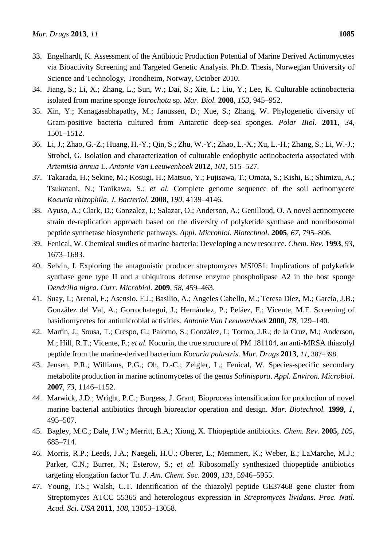- 33. Engelhardt, K. Assessment of the Antibiotic Production Potential of Marine Derived Actinomycetes via Bioactivity Screening and Targeted Genetic Analysis. Ph.D. Thesis, Norwegian University of Science and Technology, Trondheim, Norway, October 2010.
- 34. Jiang, S.; Li, X.; Zhang, L.; Sun, W.; Dai, S.; Xie, L.; Liu, Y.; Lee, K. Culturable actinobacteria isolated from marine sponge *Iotrochota* sp. *Mar. Biol.* **2008**, *153*, 945–952.
- 35. Xin, Y.; Kanagasabhapathy, M.; Janussen, D.; Xue, S.; Zhang, W. Phylogenetic diversity of Gram-positive bacteria cultured from Antarctic deep-sea sponges. *Polar Biol.* **2011**, *34*, 1501–1512.
- 36. Li, J.; Zhao, G.-Z.; Huang, H.-Y.; Qin, S.; Zhu, W.-Y.; Zhao, L.-X.; Xu, L.-H.; Zhang, S.; Li, W.-J.; Strobel, G. Isolation and characterization of culturable endophytic actinobacteria associated with *Artemisia annua* L. *Antonie Van Leeuwenhoek* **2012**, *101*, 515–527.
- 37. Takarada, H.; Sekine, M.; Kosugi, H.; Matsuo, Y.; Fujisawa, T.; Omata, S.; Kishi, E.; Shimizu, A.; Tsukatani, N.; Tanikawa, S.; *et al.* Complete genome sequence of the soil actinomycete *Kocuria rhizophila*. *J. Bacteriol.* **2008**, *190*, 4139–4146.
- 38. Ayuso, A.; Clark, D.; Gonzalez, I.; Salazar, O.; Anderson, A.; Genilloud, O. A novel actinomycete strain de-replication approach based on the diversity of polyketide synthase and nonribosomal peptide synthetase biosynthetic pathways. *Appl. Microbiol. Biotechnol.* **2005**, *67*, 795–806.
- 39. Fenical, W. Chemical studies of marine bacteria: Developing a new resource. *Chem. Rev.* **1993**, *93*, 1673–1683.
- 40. Selvin, J. Exploring the antagonistic producer streptomyces MSI051: Implications of polyketide synthase gene type II and a ubiquitous defense enzyme phospholipase A2 in the host sponge *Dendrilla nigra*. *Curr. Microbiol.* **2009**, *58*, 459–463.
- 41. Suay, I.; Arenal, F.; Asensio, F.J.; Basilio, A.; Angeles Cabello, M.; Teresa D éz, M.; Garc á, J.B.; González del Val, A.; Gorrochategui, J.; Hernández, P.; Peláez, F.; Vicente, M.F. Screening of basidiomycetes for antimicrobial activities. *Antonie Van Leeuwenhoek* **2000**, *78*, 129–140.
- 42. Martín, J.; Sousa, T.; Crespo, G.; Palomo, S.; González, I.; Tormo, J.R.; de la Cruz, M.; Anderson, M.; Hill, R.T.; Vicente, F.; *et al.* Kocurin, the true structure of PM 181104, an anti-MRSA thiazolyl peptide from the marine-derived bacterium *Kocuria palustris*. *Mar. Drugs* **2013**, *11*, 387–398.
- 43. Jensen, P.R.; Williams, P.G.; Oh, D.-C.; Zeigler, L.; Fenical, W. Species-specific secondary metabolite production in marine actinomycetes of the genus *Salinispora*. *Appl. Environ. Microbiol.* **2007**, *73*, 1146–1152.
- 44. Marwick, J.D.; Wright, P.C.; Burgess, J. Grant, Bioprocess intensification for production of novel marine bacterial antibiotics through bioreactor operation and design. *Mar. Biotechnol.* **1999**, *1*, 495–507.
- 45. Bagley, M.C.; Dale, J.W.; Merritt, E.A.; Xiong, X. Thiopeptide antibiotics. *Chem. Rev.* **2005**, *105*, 685–714.
- 46. Morris, R.P.; Leeds, J.A.; Naegeli, H.U.; Oberer, L.; Memmert, K.; Weber, E.; LaMarche, M.J.; Parker, C.N.; Burrer, N.; Esterow, S.; *et al.* Ribosomally synthesized thiopeptide antibiotics targeting elongation factor Tu. *J. Am. Chem. Soc.* **2009**, *131*, 5946–5955.
- 47. Young, T.S.; Walsh, C.T. Identification of the thiazolyl peptide GE37468 gene cluster from Streptomyces ATCC 55365 and heterologous expression in *Streptomyces lividans*. *Proc. Natl. Acad. Sci. USA* **2011**, *108*, 13053–13058.